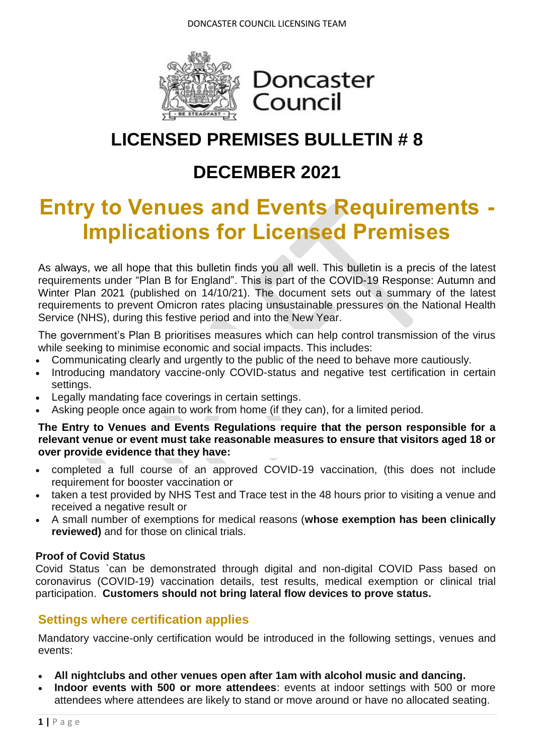

# Doncaster Council

## **LICENSED PREMISES BULLETIN # 8**

## **DECEMBER 2021**

# **Entry to Venues and Events Requirements - Implications for Licensed Premises**

As always, we all hope that this bulletin finds you all well. This bulletin is a precis of the latest requirements under "Plan B for England". This is part of the [COVID-19 Response: Autumn and](https://www.gov.uk/government/publications/covid-19-response-autumn-and-winter-plan-2021)  [Winter Plan 2021](https://www.gov.uk/government/publications/covid-19-response-autumn-and-winter-plan-2021) (published on 14/10/21). The document sets out a summary of the latest requirements to prevent Omicron rates placing unsustainable pressures on the National Health Service (NHS), during this festive period and into the New Year.

The government's Plan B prioritises measures which can help control transmission of the virus while seeking to minimise economic and social impacts. This includes:

- Communicating clearly and urgently to the public of the need to behave more cautiously.
- Introducing mandatory vaccine-only COVID-status and negative test certification in certain settings.
- Legally mandating face coverings in certain settings.
- Asking people once again to work from home (if they can), for a limited period.

**The Entry to Venues and Events Regulations require that the person responsible for a relevant venue or event must take reasonable measures to ensure that visitors aged 18 or over provide evidence that they have:**

- completed a full course of an approved COVID-19 vaccination, (this does not include requirement for booster vaccination or
- taken a test provided by NHS Test and Trace test in the 48 hours prior to visiting a venue and received a negative result or
- A small number of exemptions for medical reasons (**whose exemption has been clinically reviewed)** and for those on clinical trials.

### **Proof of Covid Status**

Covid Status `can be demonstrated through digital and non-digital COVID Pass based on coronavirus (COVID-19) vaccination details, test results, medical exemption or clinical trial participation. **Customers should not bring lateral flow devices to prove status.**

## **Settings where certification applies**

Mandatory vaccine-only certification would be introduced in the following settings, venues and events:

- **All nightclubs and other venues open after 1am with alcohol music and dancing.**
- **Indoor events with 500 or more attendees**: events at indoor settings with 500 or more attendees where attendees are likely to stand or move around or have no allocated seating.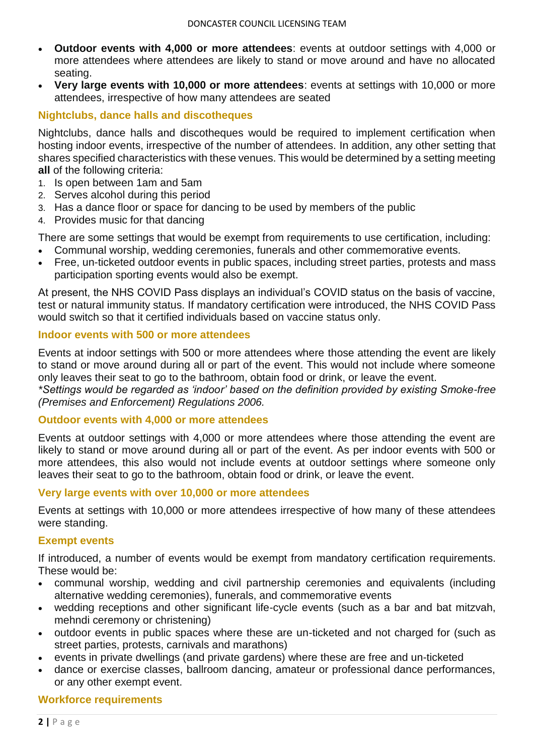- **Outdoor events with 4,000 or more attendees**: events at outdoor settings with 4,000 or more attendees where attendees are likely to stand or move around and have no allocated seating.
- **Very large events with 10,000 or more attendees**: events at settings with 10,000 or more attendees, irrespective of how many attendees are seated

#### **Nightclubs, dance halls and discotheques**

Nightclubs, dance halls and discotheques would be required to implement certification when hosting indoor events, irrespective of the number of attendees. In addition, any other setting that shares specified characteristics with these venues. This would be determined by a setting meeting **all** of the following criteria:

- 1. Is open between 1am and 5am
- 2. Serves alcohol during this period
- 3. Has a dance floor or space for dancing to be used by members of the public
- 4. Provides music for that dancing

There are some settings that would be exempt from requirements to use certification, including:

- Communal worship, wedding ceremonies, funerals and other commemorative events.
- Free, un-ticketed outdoor events in public spaces, including street parties, protests and mass participation sporting events would also be exempt.

At present, the NHS COVID Pass displays an individual's COVID status on the basis of vaccine, test or natural immunity status. If mandatory certification were introduced, the NHS COVID Pass would switch so that it certified individuals based on vaccine status only.

#### **Indoor events with 500 or more attendees**

Events at indoor settings with 500 or more attendees where those attending the event are likely to stand or move around during all or part of the event. This would not include where someone only leaves their seat to go to the bathroom, obtain food or drink, or leave the event.

*\*Settings would be regarded as 'indoor' based on the definition provided by existing Smoke-free (Premises and Enforcement) Regulations 2006.*

#### **Outdoor events with 4,000 or more attendees**

Events at outdoor settings with 4,000 or more attendees where those attending the event are likely to stand or move around during all or part of the event. As per indoor events with 500 or more attendees, this also would not include events at outdoor settings where someone only leaves their seat to go to the bathroom, obtain food or drink, or leave the event.

#### **Very large events with over 10,000 or more attendees**

Events at settings with 10,000 or more attendees irrespective of how many of these attendees were standing.

#### **Exempt events**

If introduced, a number of events would be exempt from mandatory certification requirements. These would be:

- communal worship, wedding and civil partnership ceremonies and equivalents (including alternative wedding ceremonies), funerals, and commemorative events
- wedding receptions and other significant life-cycle events (such as a bar and bat mitzvah, mehndi ceremony or christening)
- outdoor events in public spaces where these are un-ticketed and not charged for (such as street parties, protests, carnivals and marathons)
- events in private dwellings (and private gardens) where these are free and un-ticketed
- dance or exercise classes, ballroom dancing, amateur or professional dance performances, or any other exempt event.

#### **Workforce requirements**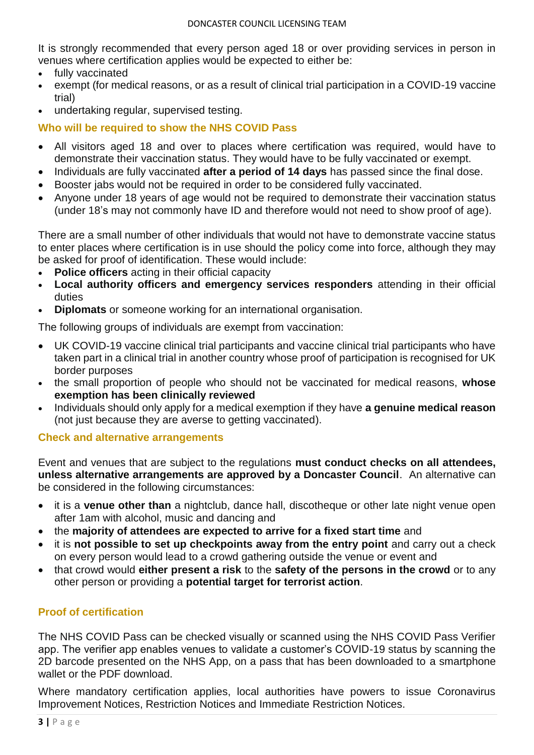It is strongly recommended that every person aged 18 or over providing services in person in venues where certification applies would be expected to either be:

- fully vaccinated
- exempt (for medical reasons, or as a result of clinical trial participation in a COVID-19 vaccine trial)
- undertaking regular, supervised testing.

**Who will be required to show the NHS COVID Pass**

- All visitors aged 18 and over to places where certification was required, would have to demonstrate their vaccination status. They would have to be fully vaccinated or exempt.
- Individuals are fully vaccinated **after a period of 14 days** has passed since the final dose.
- Booster jabs would not be required in order to be considered fully vaccinated.
- Anyone under 18 years of age would not be required to demonstrate their vaccination status (under 18's may not commonly have ID and therefore would not need to show proof of age).

There are a small number of other individuals that would not have to demonstrate vaccine status to enter places where certification is in use should the policy come into force, although they may be asked for proof of identification. These would include:

- **Police officers** acting in their official capacity
- **Local authority officers and emergency services responders** attending in their official duties
- **Diplomats** or someone working for an international organisation.

The following groups of individuals are exempt from vaccination:

- UK COVID-19 vaccine clinical trial participants and vaccine clinical trial participants who have taken part in a clinical trial in another country whose proof of participation is recognised for UK border purposes
- the small proportion of people who should not be vaccinated for medical reasons, **whose exemption has been clinically reviewed**
- Individuals should only apply for a medical exemption if they have **a genuine medical reason** (not just because they are averse to getting vaccinated).

#### **Check and alternative arrangements**

Event and venues that are subject to the regulations **must conduct checks on all attendees, unless alternative arrangements are approved by a Doncaster Council**. An alternative can be considered in the following circumstances:

- it is a **venue other than** a nightclub, dance hall, discotheque or other late night venue open after 1am with alcohol, music and dancing and
- the **majority of attendees are expected to arrive for a fixed start time** and
- it is **not possible to set up checkpoints away from the entry point** and carry out a check on every person would lead to a crowd gathering outside the venue or event and
- that crowd would **either present a risk** to the **safety of the persons in the crowd** or to any other person or providing a **potential target for terrorist action**.

### **Proof of certification**

The NHS COVID Pass can be checked visually or scanned using the NHS COVID Pass Verifier app. The verifier app enables venues to validate a customer's COVID-19 status by scanning the 2D barcode presented on the NHS App, on a pass that has been downloaded to a smartphone wallet or the PDF download.

Where mandatory certification applies, local authorities have powers to issue Coronavirus Improvement Notices, Restriction Notices and Immediate Restriction Notices.